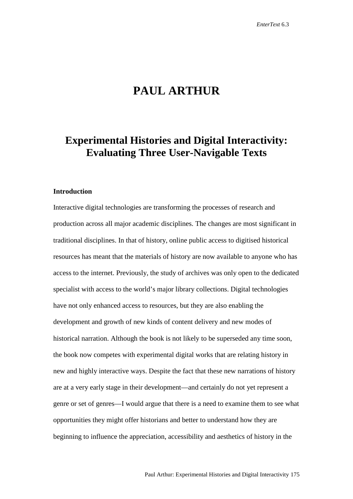# **PAUL ARTHUR**

## **Experimental Histories and Digital Interactivity: Evaluating Three User-Navigable Texts**

## **Introduction**

Interactive digital technologies are transforming the processes of research and production across all major academic disciplines. The changes are most significant in traditional disciplines. In that of history, online public access to digitised historical resources has meant that the materials of history are now available to anyone who has access to the internet. Previously, the study of archives was only open to the dedicated specialist with access to the world's major library collections. Digital technologies have not only enhanced access to resources, but they are also enabling the development and growth of new kinds of content delivery and new modes of historical narration. Although the book is not likely to be superseded any time soon, the book now competes with experimental digital works that are relating history in new and highly interactive ways. Despite the fact that these new narrations of history are at a very early stage in their development—and certainly do not yet represent a genre or set of genres—I would argue that there is a need to examine them to see what opportunities they might offer historians and better to understand how they are beginning to influence the appreciation, accessibility and aesthetics of history in the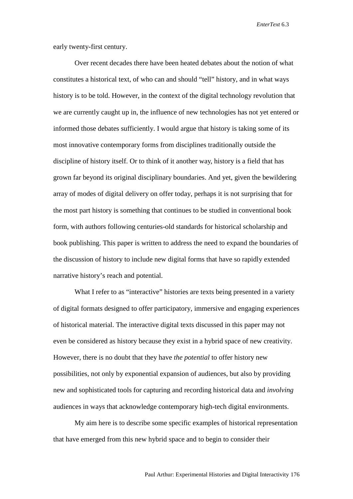early twenty-first century.

Over recent decades there have been heated debates about the notion of what constitutes a historical text, of who can and should "tell" history, and in what ways history is to be told. However, in the context of the digital technology revolution that we are currently caught up in, the influence of new technologies has not yet entered or informed those debates sufficiently. I would argue that history is taking some of its most innovative contemporary forms from disciplines traditionally outside the discipline of history itself. Or to think of it another way, history is a field that has grown far beyond its original disciplinary boundaries. And yet, given the bewildering array of modes of digital delivery on offer today, perhaps it is not surprising that for the most part history is something that continues to be studied in conventional book form, with authors following centuries-old standards for historical scholarship and book publishing. This paper is written to address the need to expand the boundaries of the discussion of history to include new digital forms that have so rapidly extended narrative history's reach and potential.

What I refer to as "interactive" histories are texts being presented in a variety of digital formats designed to offer participatory, immersive and engaging experiences of historical material. The interactive digital texts discussed in this paper may not even be considered as history because they exist in a hybrid space of new creativity. However, there is no doubt that they have *the potential* to offer history new possibilities, not only by exponential expansion of audiences, but also by providing new and sophisticated tools for capturing and recording historical data and *involving* audiences in ways that acknowledge contemporary high-tech digital environments.

My aim here is to describe some specific examples of historical representation that have emerged from this new hybrid space and to begin to consider their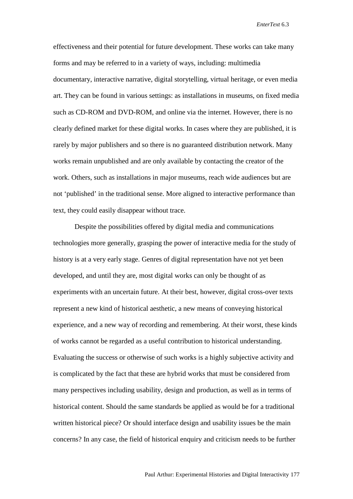effectiveness and their potential for future development. These works can take many forms and may be referred to in a variety of ways, including: multimedia documentary, interactive narrative, digital storytelling, virtual heritage, or even media art. They can be found in various settings: as installations in museums, on fixed media such as CD-ROM and DVD-ROM, and online via the internet. However, there is no clearly defined market for these digital works. In cases where they are published, it is rarely by major publishers and so there is no guaranteed distribution network. Many works remain unpublished and are only available by contacting the creator of the work. Others, such as installations in major museums, reach wide audiences but are not 'published' in the traditional sense. More aligned to interactive performance than text, they could easily disappear without trace.

Despite the possibilities offered by digital media and communications technologies more generally, grasping the power of interactive media for the study of history is at a very early stage. Genres of digital representation have not yet been developed, and until they are, most digital works can only be thought of as experiments with an uncertain future. At their best, however, digital cross-over texts represent a new kind of historical aesthetic, a new means of conveying historical experience, and a new way of recording and remembering. At their worst, these kinds of works cannot be regarded as a useful contribution to historical understanding. Evaluating the success or otherwise of such works is a highly subjective activity and is complicated by the fact that these are hybrid works that must be considered from many perspectives including usability, design and production, as well as in terms of historical content. Should the same standards be applied as would be for a traditional written historical piece? Or should interface design and usability issues be the main concerns? In any case, the field of historical enquiry and criticism needs to be further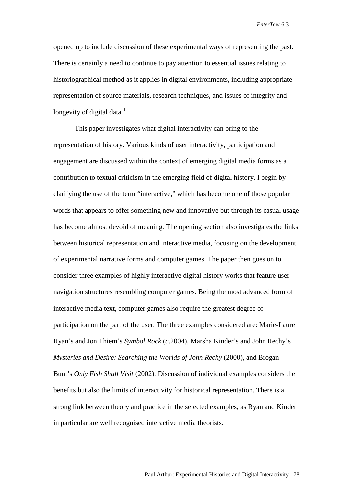opened up to include discussion of these experimental ways of representing the past. There is certainly a need to continue to pay attention to essential issues relating to historiographical method as it applies in digital environments, including appropriate representation of source materials, research techniques, and issues of integrity and longevity of digital data. $<sup>1</sup>$  $<sup>1</sup>$  $<sup>1</sup>$ </sup>

This paper investigates what digital interactivity can bring to the representation of history. Various kinds of user interactivity, participation and engagement are discussed within the context of emerging digital media forms as a contribution to textual criticism in the emerging field of digital history. I begin by clarifying the use of the term "interactive," which has become one of those popular words that appears to offer something new and innovative but through its casual usage has become almost devoid of meaning. The opening section also investigates the links between historical representation and interactive media, focusing on the development of experimental narrative forms and computer games. The paper then goes on to consider three examples of highly interactive digital history works that feature user navigation structures resembling computer games. Being the most advanced form of interactive media text, computer games also require the greatest degree of participation on the part of the user. The three examples considered are: Marie-Laure Ryan's and Jon Thiem's *Symbol Rock* (*c*.2004), Marsha Kinder's and John Rechy's *Mysteries and Desire: Searching the Worlds of John Rechy* (2000), and Brogan Bunt's *Only Fish Shall Visit* (2002). Discussion of individual examples considers the benefits but also the limits of interactivity for historical representation. There is a strong link between theory and practice in the selected examples, as Ryan and Kinder in particular are well recognised interactive media theorists.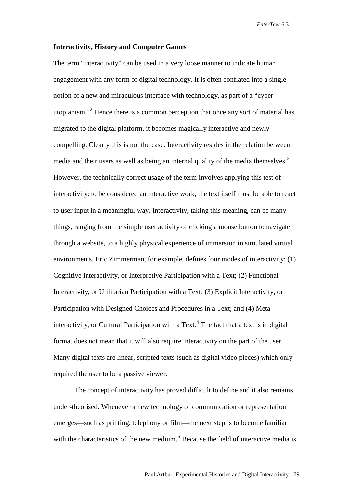### **Interactivity, History and Computer Games**

The term "interactivity" can be used in a very loose manner to indicate human engagement with any form of digital technology. It is often conflated into a single notion of a new and miraculous interface with technology, as part of a "cyberutopianism."[2](#page-28-1) Hence there is a common perception that once any sort of material has migrated to the digital platform, it becomes magically interactive and newly compelling. Clearly this is not the case. Interactivity resides in the relation between media and their users as well as being an internal quality of the media themselves.<sup>[3](#page-28-2)</sup> However, the technically correct usage of the term involves applying this test of interactivity: to be considered an interactive work, the text itself must be able to react to user input in a meaningful way. Interactivity, taking this meaning, can be many things, ranging from the simple user activity of clicking a mouse button to navigate through a website, to a highly physical experience of immersion in simulated virtual environments. Eric Zimmerman, for example, defines four modes of interactivity: (1) Cognitive Interactivity, or Interpretive Participation with a Text; (2) Functional Interactivity, or Utilitarian Participation with a Text; (3) Explicit Interactivity, or Participation with Designed Choices and Procedures in a Text; and (4) Meta-interactivity, or Cultural Participation with a Text.<sup>[4](#page-28-3)</sup> The fact that a text is in digital format does not mean that it will also require interactivity on the part of the user. Many digital texts are linear, scripted texts (such as digital video pieces) which only required the user to be a passive viewer.

The concept of interactivity has proved difficult to define and it also remains under-theorised. Whenever a new technology of communication or representation emerges—such as printing, telephony or film—the next step is to become familiar with the characteristics of the new medium.<sup>[5](#page-28-4)</sup> Because the field of interactive media is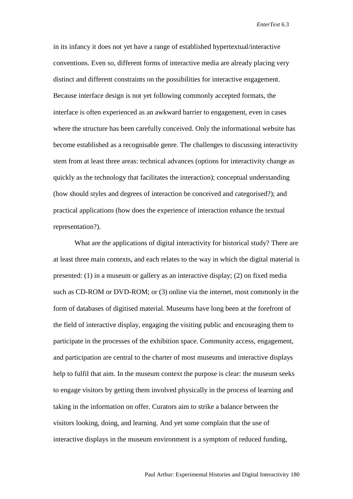in its infancy it does not yet have a range of established hypertextual/interactive conventions. Even so, different forms of interactive media are already placing very distinct and different constraints on the possibilities for interactive engagement. Because interface design is not yet following commonly accepted formats, the interface is often experienced as an awkward barrier to engagement, even in cases where the structure has been carefully conceived. Only the informational website has become established as a recognisable genre. The challenges to discussing interactivity stem from at least three areas: technical advances (options for interactivity change as quickly as the technology that facilitates the interaction); conceptual understanding (how should styles and degrees of interaction be conceived and categorised?); and practical applications (how does the experience of interaction enhance the textual representation?).

What are the applications of digital interactivity for historical study? There are at least three main contexts, and each relates to the way in which the digital material is presented: (1) in a museum or gallery as an interactive display; (2) on fixed media such as CD-ROM or DVD-ROM; or (3) online via the internet, most commonly in the form of databases of digitised material. Museums have long been at the forefront of the field of interactive display, engaging the visiting public and encouraging them to participate in the processes of the exhibition space. Community access, engagement, and participation are central to the charter of most museums and interactive displays help to fulfil that aim. In the museum context the purpose is clear: the museum seeks to engage visitors by getting them involved physically in the process of learning and taking in the information on offer. Curators aim to strike a balance between the visitors looking, doing, and learning. And yet some complain that the use of interactive displays in the museum environment is a symptom of reduced funding,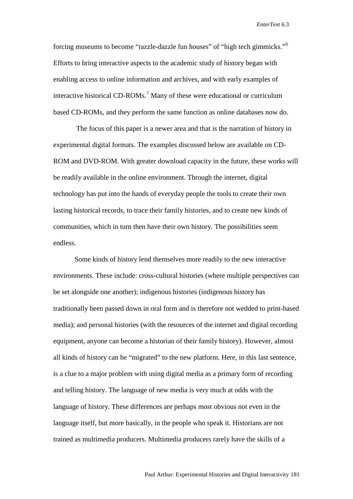forcing museums to become "razzle-dazzle fun houses" of "high tech gimmicks."[6](#page-28-5) Efforts to bring interactive aspects to the academic study of history began with enabling access to online information and archives, and with early examples of interactive historical CD-ROMs.<sup>[7](#page-28-6)</sup> Many of these were educational or curriculum based CD-ROMs, and they perform the same function as online databases now do.

The focus of this paper is a newer area and that is the narration of history in experimental digital formats. The examples discussed below are available on CD-ROM and DVD-ROM. With greater download capacity in the future, these works will be readily available in the online environment. Through the internet, digital technology has put into the hands of everyday people the tools to create their own lasting historical records, to trace their family histories, and to create new kinds of communities, which in turn then have their own history. The possibilities seem endless.

Some kinds of history lend themselves more readily to the new interactive environments. These include: cross-cultural histories (where multiple perspectives can be set alongside one another); indigenous histories (indigenous history has traditionally been passed down in oral form and is therefore not wedded to print-based media); and personal histories (with the resources of the internet and digital recording equipment, anyone can become a historian of their family history). However, almost all kinds of history can be "migrated" to the new platform. Here, in this last sentence, is a clue to a major problem with using digital media as a primary form of recording and telling history. The language of new media is very much at odds with the language of history. These differences are perhaps most obvious not even in the language itself, but more basically, in the people who speak it. Historians are not trained as multimedia producers. Multimedia producers rarely have the skills of a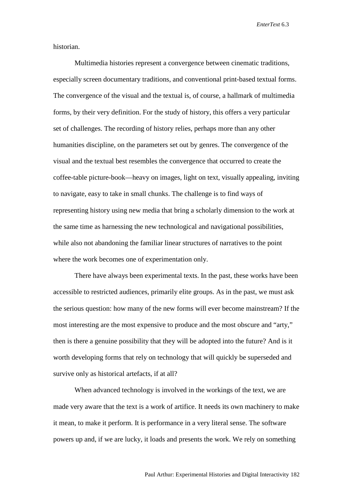historian.

Multimedia histories represent a convergence between cinematic traditions, especially screen documentary traditions, and conventional print-based textual forms. The convergence of the visual and the textual is, of course, a hallmark of multimedia forms, by their very definition. For the study of history, this offers a very particular set of challenges. The recording of history relies, perhaps more than any other humanities discipline, on the parameters set out by genres. The convergence of the visual and the textual best resembles the convergence that occurred to create the coffee-table picture-book—heavy on images, light on text, visually appealing, inviting to navigate, easy to take in small chunks. The challenge is to find ways of representing history using new media that bring a scholarly dimension to the work at the same time as harnessing the new technological and navigational possibilities, while also not abandoning the familiar linear structures of narratives to the point where the work becomes one of experimentation only.

There have always been experimental texts. In the past, these works have been accessible to restricted audiences, primarily elite groups. As in the past, we must ask the serious question: how many of the new forms will ever become mainstream? If the most interesting are the most expensive to produce and the most obscure and "arty," then is there a genuine possibility that they will be adopted into the future? And is it worth developing forms that rely on technology that will quickly be superseded and survive only as historical artefacts, if at all?

When advanced technology is involved in the workings of the text, we are made very aware that the text is a work of artifice. It needs its own machinery to make it mean, to make it perform. It is performance in a very literal sense. The software powers up and, if we are lucky, it loads and presents the work. We rely on something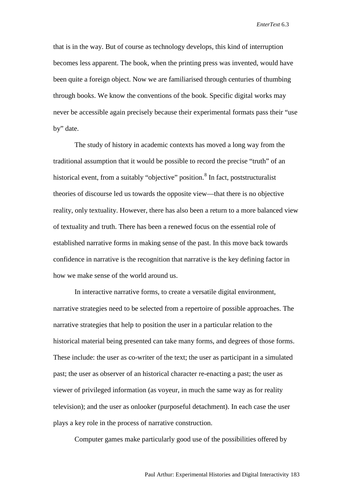that is in the way. But of course as technology develops, this kind of interruption becomes less apparent. The book, when the printing press was invented, would have been quite a foreign object. Now we are familiarised through centuries of thumbing through books. We know the conventions of the book. Specific digital works may never be accessible again precisely because their experimental formats pass their "use by" date.

The study of history in academic contexts has moved a long way from the traditional assumption that it would be possible to record the precise "truth" of an historical event, from a suitably "objective" position.<sup>[8](#page-28-7)</sup> In fact, poststructuralist theories of discourse led us towards the opposite view—that there is no objective reality, only textuality. However, there has also been a return to a more balanced view of textuality and truth. There has been a renewed focus on the essential role of established narrative forms in making sense of the past. In this move back towards confidence in narrative is the recognition that narrative is the key defining factor in how we make sense of the world around us.

In interactive narrative forms, to create a versatile digital environment, narrative strategies need to be selected from a repertoire of possible approaches. The narrative strategies that help to position the user in a particular relation to the historical material being presented can take many forms, and degrees of those forms. These include: the user as co-writer of the text; the user as participant in a simulated past; the user as observer of an historical character re-enacting a past; the user as viewer of privileged information (as voyeur, in much the same way as for reality television); and the user as onlooker (purposeful detachment). In each case the user plays a key role in the process of narrative construction.

Computer games make particularly good use of the possibilities offered by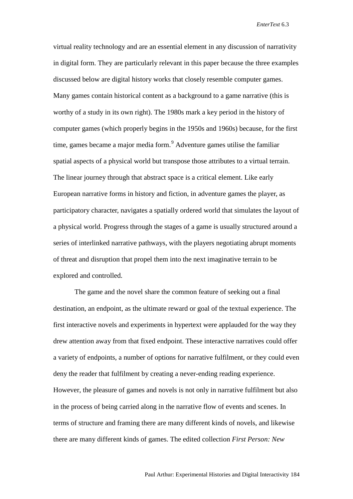virtual reality technology and are an essential element in any discussion of narrativity in digital form. They are particularly relevant in this paper because the three examples discussed below are digital history works that closely resemble computer games. Many games contain historical content as a background to a game narrative (this is worthy of a study in its own right). The 1980s mark a key period in the history of computer games (which properly begins in the 1950s and 1960s) because, for the first time, games became a major media form. [9](#page-28-8) Adventure games utilise the familiar spatial aspects of a physical world but transpose those attributes to a virtual terrain. The linear journey through that abstract space is a critical element. Like early European narrative forms in history and fiction, in adventure games the player, as participatory character, navigates a spatially ordered world that simulates the layout of a physical world. Progress through the stages of a game is usually structured around a series of interlinked narrative pathways, with the players negotiating abrupt moments of threat and disruption that propel them into the next imaginative terrain to be explored and controlled.

The game and the novel share the common feature of seeking out a final destination, an endpoint, as the ultimate reward or goal of the textual experience. The first interactive novels and experiments in hypertext were applauded for the way they drew attention away from that fixed endpoint. These interactive narratives could offer a variety of endpoints, a number of options for narrative fulfilment, or they could even deny the reader that fulfilment by creating a never-ending reading experience. However, the pleasure of games and novels is not only in narrative fulfilment but also in the process of being carried along in the narrative flow of events and scenes. In terms of structure and framing there are many different kinds of novels, and likewise there are many different kinds of games. The edited collection *First Person: New*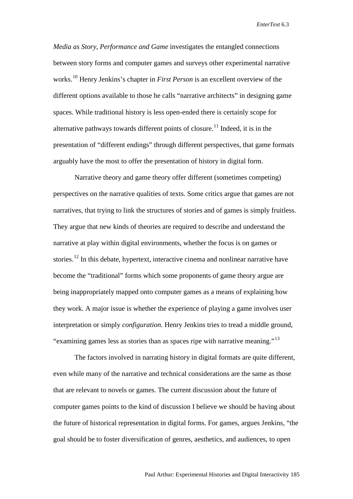*Media as Story, Performance and Game* investigates the entangled connections between story forms and computer games and surveys other experimental narrative works.[10](#page-28-9) Henry Jenkins's chapter in *First Person* is an excellent overview of the different options available to those he calls "narrative architects" in designing game spaces. While traditional history is less open-ended there is certainly scope for alternative pathways towards different points of closure.<sup>[11](#page-28-10)</sup> Indeed, it is in the presentation of "different endings" through different perspectives, that game formats arguably have the most to offer the presentation of history in digital form.

Narrative theory and game theory offer different (sometimes competing) perspectives on the narrative qualities of texts. Some critics argue that games are not narratives, that trying to link the structures of stories and of games is simply fruitless. They argue that new kinds of theories are required to describe and understand the narrative at play within digital environments, whether the focus is on games or stories.<sup>[12](#page-28-11)</sup> In this debate, hypertext, interactive cinema and nonlinear narrative have become the "traditional" forms which some proponents of game theory argue are being inappropriately mapped onto computer games as a means of explaining how they work. A major issue is whether the experience of playing a game involves user interpretation or simply *configuration*. Henry Jenkins tries to tread a middle ground, "examining games less as stories than as spaces ripe with narrative meaning."<sup>[13](#page-28-12)</sup>

The factors involved in narrating history in digital formats are quite different, even while many of the narrative and technical considerations are the same as those that are relevant to novels or games. The current discussion about the future of computer games points to the kind of discussion I believe we should be having about the future of historical representation in digital forms. For games, argues Jenkins, "the goal should be to foster diversification of genres, aesthetics, and audiences, to open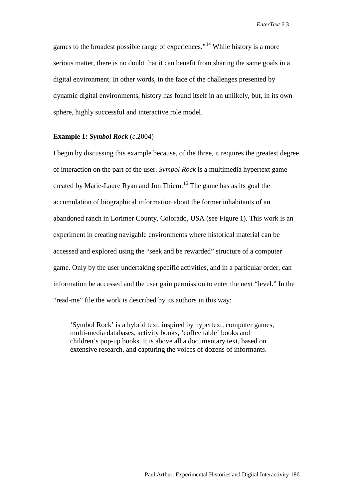games to the broadest possible range of experiences."<sup>[14](#page-28-13)</sup> While history is a more serious matter, there is no doubt that it can benefit from sharing the same goals in a digital environment. In other words, in the face of the challenges presented by dynamic digital environments, history has found itself in an unlikely, but, in its own sphere, highly successful and interactive role model.

## **Example 1:** *Symbol Rock* (*c*.2004)

I begin by discussing this example because, of the three, it requires the greatest degree of interaction on the part of the user. *Symbol Rock* is a multimedia hypertext game created by Marie-Laure Ryan and Jon Thiem.[15](#page-28-14) The game has as its goal the accumulation of biographical information about the former inhabitants of an abandoned ranch in Lorimer County, Colorado, USA (see Figure 1). This work is an experiment in creating navigable environments where historical material can be accessed and explored using the "seek and be rewarded" structure of a computer game. Only by the user undertaking specific activities, and in a particular order, can information be accessed and the user gain permission to enter the next "level." In the "read-me" file the work is described by its authors in this way:

'Symbol Rock' is a hybrid text, inspired by hypertext, computer games, multi-media databases, activity books, 'coffee table' books and children's pop-up books. It is above all a documentary text, based on extensive research, and capturing the voices of dozens of informants.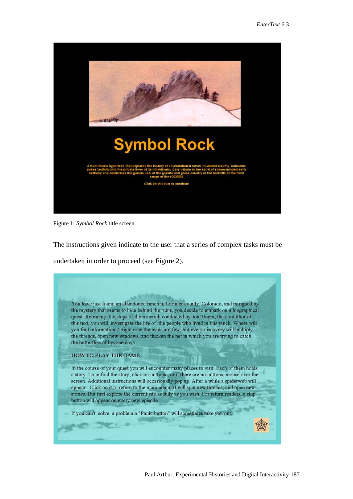

Figure 1: *Symbol Rock* title screen

The instructions given indicate to the user that a series of complex tasks must be undertaken in order to proceed (see Figure 2).

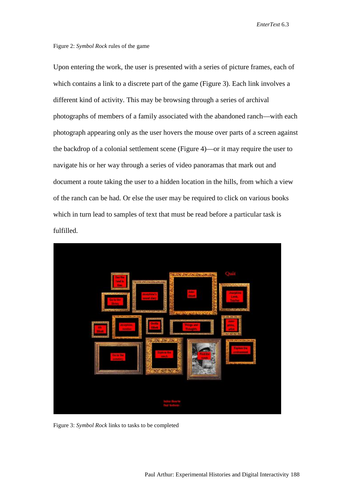#### Figure 2: *Symbol Rock* rules of the game

Upon entering the work, the user is presented with a series of picture frames, each of which contains a link to a discrete part of the game (Figure 3). Each link involves a different kind of activity. This may be browsing through a series of archival photographs of members of a family associated with the abandoned ranch—with each photograph appearing only as the user hovers the mouse over parts of a screen against the backdrop of a colonial settlement scene (Figure 4)—or it may require the user to navigate his or her way through a series of video panoramas that mark out and document a route taking the user to a hidden location in the hills, from which a view of the ranch can be had. Or else the user may be required to click on various books which in turn lead to samples of text that must be read before a particular task is fulfilled.



Figure 3: *Symbol Rock* links to tasks to be completed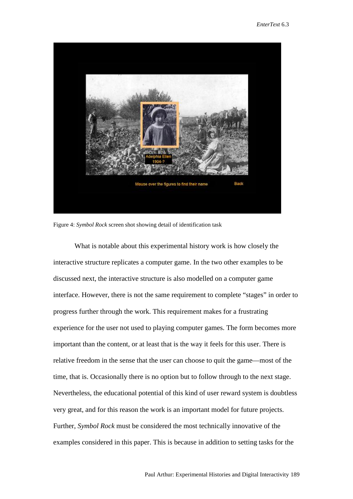

Figure 4: *Symbol Rock* screen shot showing detail of identification task

What is notable about this experimental history work is how closely the interactive structure replicates a computer game. In the two other examples to be discussed next, the interactive structure is also modelled on a computer game interface. However, there is not the same requirement to complete "stages" in order to progress further through the work. This requirement makes for a frustrating experience for the user not used to playing computer games. The form becomes more important than the content, or at least that is the way it feels for this user. There is relative freedom in the sense that the user can choose to quit the game—most of the time, that is. Occasionally there is no option but to follow through to the next stage. Nevertheless, the educational potential of this kind of user reward system is doubtless very great, and for this reason the work is an important model for future projects. Further, *Symbol Rock* must be considered the most technically innovative of the examples considered in this paper. This is because in addition to setting tasks for the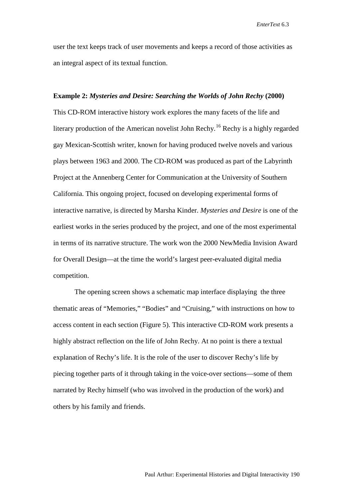user the text keeps track of user movements and keeps a record of those activities as an integral aspect of its textual function.

## **Example 2:** *Mysteries and Desire: Searching the Worlds of John Rechy* **(2000)**

This CD-ROM interactive history work explores the many facets of the life and literary production of the American novelist John Rechy.<sup>[16](#page-28-15)</sup> Rechy is a highly regarded gay Mexican-Scottish writer, known for having produced twelve novels and various plays between 1963 and 2000. The CD-ROM was produced as part of the Labyrinth Project at the Annenberg Center for Communication at the University of Southern California. This ongoing project, focused on developing experimental forms of interactive narrative, is directed by Marsha Kinder. *Mysteries and Desire* is one of the earliest works in the series produced by the project, and one of the most experimental in terms of its narrative structure. The work won the 2000 NewMedia Invision Award for Overall Design—at the time the world's largest peer-evaluated digital media competition.

The opening screen shows a schematic map interface displaying the three thematic areas of "Memories," "Bodies" and "Cruising," with instructions on how to access content in each section (Figure 5). This interactive CD-ROM work presents a highly abstract reflection on the life of John Rechy. At no point is there a textual explanation of Rechy's life. It is the role of the user to discover Rechy's life by piecing together parts of it through taking in the voice-over sections—some of them narrated by Rechy himself (who was involved in the production of the work) and others by his family and friends.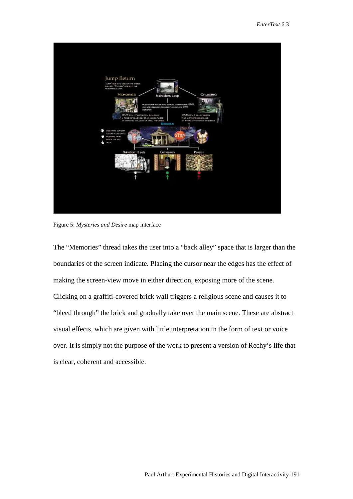

Figure 5: *Mysteries and Desire* map interface

The "Memories" thread takes the user into a "back alley" space that is larger than the boundaries of the screen indicate. Placing the cursor near the edges has the effect of making the screen-view move in either direction, exposing more of the scene. Clicking on a graffiti-covered brick wall triggers a religious scene and causes it to "bleed through" the brick and gradually take over the main scene. These are abstract visual effects, which are given with little interpretation in the form of text or voice over. It is simply not the purpose of the work to present a version of Rechy's life that is clear, coherent and accessible.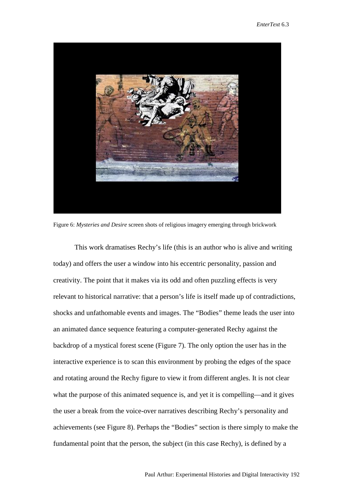

Figure 6: *Mysteries and Desire* screen shots of religious imagery emerging through brickwork

This work dramatises Rechy's life (this is an author who is alive and writing today) and offers the user a window into his eccentric personality, passion and creativity. The point that it makes via its odd and often puzzling effects is very relevant to historical narrative: that a person's life is itself made up of contradictions, shocks and unfathomable events and images. The "Bodies" theme leads the user into an animated dance sequence featuring a computer-generated Rechy against the backdrop of a mystical forest scene (Figure 7). The only option the user has in the interactive experience is to scan this environment by probing the edges of the space and rotating around the Rechy figure to view it from different angles. It is not clear what the purpose of this animated sequence is, and yet it is compelling—and it gives the user a break from the voice-over narratives describing Rechy's personality and achievements (see Figure 8). Perhaps the "Bodies" section is there simply to make the fundamental point that the person, the subject (in this case Rechy), is defined by a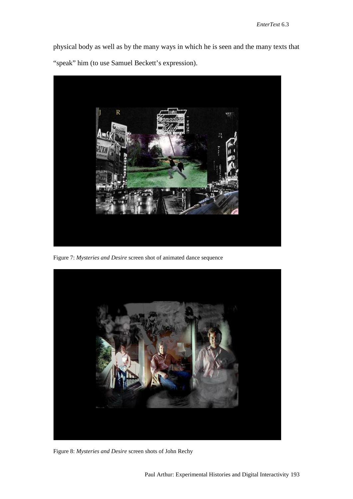physical body as well as by the many ways in which he is seen and the many texts that "speak" him (to use Samuel Beckett's expression).



Figure 7: *Mysteries and Desire* screen shot of animated dance sequence



Figure 8: *Mysteries and Desire* screen shots of John Rechy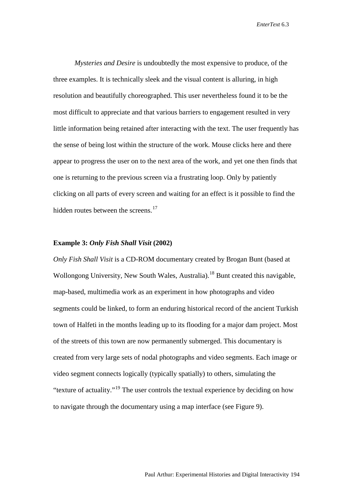*Mysteries and Desire* is undoubtedly the most expensive to produce, of the three examples. It is technically sleek and the visual content is alluring, in high resolution and beautifully choreographed. This user nevertheless found it to be the most difficult to appreciate and that various barriers to engagement resulted in very little information being retained after interacting with the text. The user frequently has the sense of being lost within the structure of the work. Mouse clicks here and there appear to progress the user on to the next area of the work, and yet one then finds that one is returning to the previous screen via a frustrating loop. Only by patiently clicking on all parts of every screen and waiting for an effect is it possible to find the hidden routes between the screens.<sup>[17](#page-28-16)</sup>

## **Example 3:** *Only Fish Shall Visit* **(2002)**

*Only Fish Shall Visit* is a CD-ROM documentary created by Brogan Bunt (based at Wollongong University, New South Wales, Australia).<sup>[18](#page-28-17)</sup> Bunt created this navigable, map-based, multimedia work as an experiment in how photographs and video segments could be linked, to form an enduring historical record of the ancient Turkish town of Halfeti in the months leading up to its flooding for a major dam project. Most of the streets of this town are now permanently submerged. This documentary is created from very large sets of nodal photographs and video segments. Each image or video segment connects logically (typically spatially) to others, simulating the "texture of actuality."[19](#page-28-18) The user controls the textual experience by deciding on how to navigate through the documentary using a map interface (see Figure 9).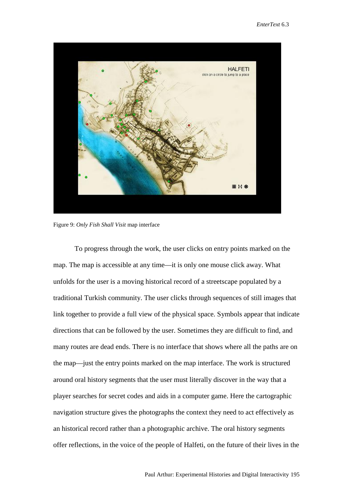

Figure 9: *Only Fish Shall Visit* map interface

To progress through the work, the user clicks on entry points marked on the map. The map is accessible at any time—it is only one mouse click away. What unfolds for the user is a moving historical record of a streetscape populated by a traditional Turkish community. The user clicks through sequences of still images that link together to provide a full view of the physical space. Symbols appear that indicate directions that can be followed by the user. Sometimes they are difficult to find, and many routes are dead ends. There is no interface that shows where all the paths are on the map—just the entry points marked on the map interface. The work is structured around oral history segments that the user must literally discover in the way that a player searches for secret codes and aids in a computer game. Here the cartographic navigation structure gives the photographs the context they need to act effectively as an historical record rather than a photographic archive. The oral history segments offer reflections, in the voice of the people of Halfeti, on the future of their lives in the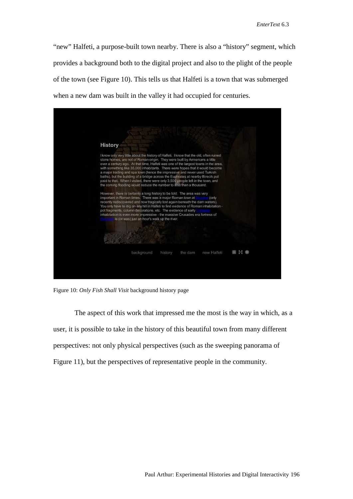"new" Halfeti, a purpose-built town nearby. There is also a "history" segment, which provides a background both to the digital project and also to the plight of the people of the town (see Figure 10). This tells us that Halfeti is a town that was submerged when a new dam was built in the valley it had occupied for centuries.



Figure 10: *Only Fish Shall Visit* background history page

The aspect of this work that impressed me the most is the way in which, as a user, it is possible to take in the history of this beautiful town from many different perspectives: not only physical perspectives (such as the sweeping panorama of Figure 11), but the perspectives of representative people in the community.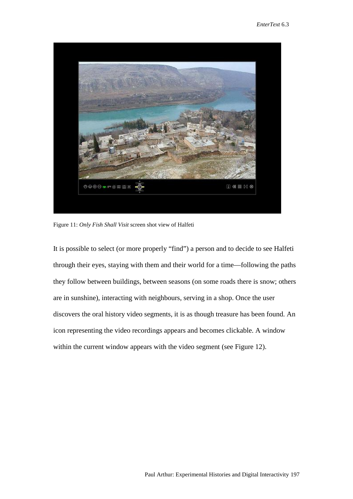

Figure 11: *Only Fish Shall Visit* screen shot view of Halfeti

It is possible to select (or more properly "find") a person and to decide to see Halfeti through their eyes, staying with them and their world for a time—following the paths they follow between buildings, between seasons (on some roads there is snow; others are in sunshine), interacting with neighbours, serving in a shop. Once the user discovers the oral history video segments, it is as though treasure has been found. An icon representing the video recordings appears and becomes clickable. A window within the current window appears with the video segment (see Figure 12).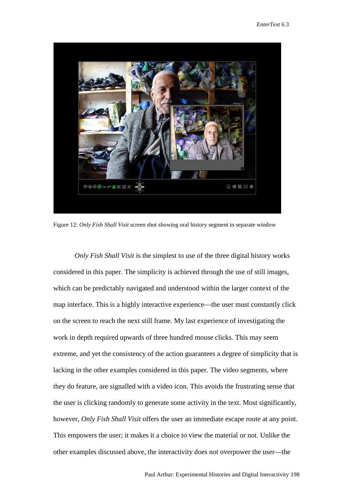

Figure 12: *Only Fish Shall Visit* screen shot showing oral history segment in separate window

*Only Fish Shall Visit* is the simplest to use of the three digital history works considered in this paper. The simplicity is achieved through the use of still images, which can be predictably navigated and understood within the larger context of the map interface. This is a highly interactive experience—the user must constantly click on the screen to reach the next still frame. My last experience of investigating the work in depth required upwards of three hundred mouse clicks. This may seem extreme, and yet the consistency of the action guarantees a degree of simplicity that is lacking in the other examples considered in this paper. The video segments, where they do feature, are signalled with a video icon. This avoids the frustrating sense that the user is clicking randomly to generate some activity in the text. Most significantly, however, *Only Fish Shall Visit* offers the user an immediate escape route at any point. This empowers the user; it makes it a choice to view the material or not. Unlike the other examples discussed above, the interactivity does not overpower the user—the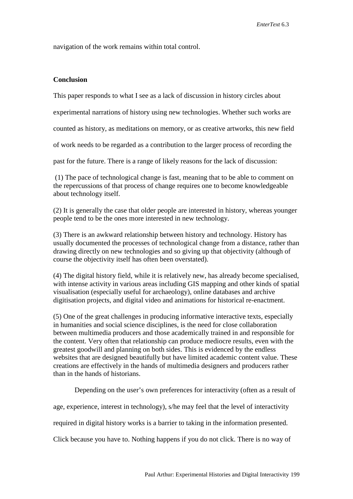navigation of the work remains within total control.

## **Conclusion**

This paper responds to what I see as a lack of discussion in history circles about

experimental narrations of history using new technologies. Whether such works are

counted as history, as meditations on memory, or as creative artworks, this new field

of work needs to be regarded as a contribution to the larger process of recording the

past for the future. There is a range of likely reasons for the lack of discussion:

(1) The pace of technological change is fast, meaning that to be able to comment on the repercussions of that process of change requires one to become knowledgeable about technology itself.

(2) It is generally the case that older people are interested in history, whereas younger people tend to be the ones more interested in new technology.

(3) There is an awkward relationship between history and technology. History has usually documented the processes of technological change from a distance, rather than drawing directly on new technologies and so giving up that objectivity (although of course the objectivity itself has often been overstated).

(4) The digital history field, while it is relatively new, has already become specialised, with intense activity in various areas including GIS mapping and other kinds of spatial visualisation (especially useful for archaeology), online databases and archive digitisation projects, and digital video and animations for historical re-enactment.

(5) One of the great challenges in producing informative interactive texts, especially in humanities and social science disciplines, is the need for close collaboration between multimedia producers and those academically trained in and responsible for the content. Very often that relationship can produce mediocre results, even with the greatest goodwill and planning on both sides. This is evidenced by the endless websites that are designed beautifully but have limited academic content value. These creations are effectively in the hands of multimedia designers and producers rather than in the hands of historians.

Depending on the user's own preferences for interactivity (often as a result of

age, experience, interest in technology), s/he may feel that the level of interactivity

required in digital history works is a barrier to taking in the information presented.

Click because you have to. Nothing happens if you do not click. There is no way of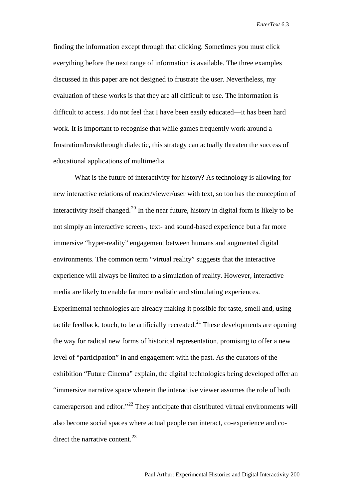finding the information except through that clicking. Sometimes you must click everything before the next range of information is available. The three examples discussed in this paper are not designed to frustrate the user. Nevertheless, my evaluation of these works is that they are all difficult to use. The information is difficult to access. I do not feel that I have been easily educated—it has been hard work. It is important to recognise that while games frequently work around a frustration/breakthrough dialectic, this strategy can actually threaten the success of educational applications of multimedia.

What is the future of interactivity for history? As technology is allowing for new interactive relations of reader/viewer/user with text, so too has the conception of interactivity itself changed.<sup>[20](#page-28-19)</sup> In the near future, history in digital form is likely to be not simply an interactive screen-, text- and sound-based experience but a far more immersive "hyper-reality" engagement between humans and augmented digital environments. The common term "virtual reality" suggests that the interactive experience will always be limited to a simulation of reality. However, interactive media are likely to enable far more realistic and stimulating experiences. Experimental technologies are already making it possible for taste, smell and, using tactile feedback, touch, to be artificially recreated.<sup>[21](#page-28-20)</sup> These developments are opening the way for radical new forms of historical representation, promising to offer a new level of "participation" in and engagement with the past. As the curators of the exhibition "Future Cinema" explain, the digital technologies being developed offer an "immersive narrative space wherein the interactive viewer assumes the role of both cameraperson and editor."<sup>[22](#page-28-21)</sup> They anticipate that distributed virtual environments will also become social spaces where actual people can interact, co-experience and codirect the narrative content. $^{23}$  $^{23}$  $^{23}$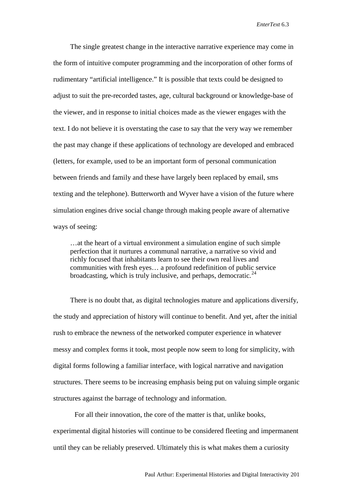The single greatest change in the interactive narrative experience may come in the form of intuitive computer programming and the incorporation of other forms of rudimentary "artificial intelligence." It is possible that texts could be designed to adjust to suit the pre-recorded tastes, age, cultural background or knowledge-base of the viewer, and in response to initial choices made as the viewer engages with the text. I do not believe it is overstating the case to say that the very way we remember the past may change if these applications of technology are developed and embraced (letters, for example, used to be an important form of personal communication between friends and family and these have largely been replaced by email, sms texting and the telephone). Butterworth and Wyver have a vision of the future where simulation engines drive social change through making people aware of alternative ways of seeing:

…at the heart of a virtual environment a simulation engine of such simple perfection that it nurtures a communal narrative, a narrative so vivid and richly focused that inhabitants learn to see their own real lives and communities with fresh eyes… a profound redefinition of public service broadcasting, which is truly inclusive, and perhaps, democratic.  $24$ 

There is no doubt that, as digital technologies mature and applications diversify, the study and appreciation of history will continue to benefit. And yet, after the initial rush to embrace the newness of the networked computer experience in whatever messy and complex forms it took, most people now seem to long for simplicity, with digital forms following a familiar interface, with logical narrative and navigation structures. There seems to be increasing emphasis being put on valuing simple organic structures against the barrage of technology and information.

For all their innovation, the core of the matter is that, unlike books, experimental digital histories will continue to be considered fleeting and impermanent until they can be reliably preserved. Ultimately this is what makes them a curiosity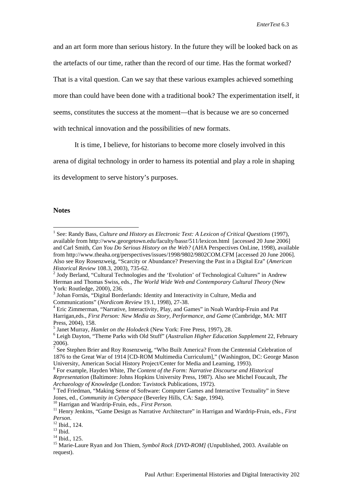and an art form more than serious history. In the future they will be looked back on as the artefacts of our time, rather than the record of our time. Has the format worked? That is a vital question. Can we say that these various examples achieved something more than could have been done with a traditional book? The experimentation itself, it seems, constitutes the success at the moment—that is because we are so concerned with technical innovation and the possibilities of new formats.

It is time, I believe, for historians to become more closely involved in this

arena of digital technology in order to harness its potential and play a role in shaping

its development to serve history's purposes.

## **Notes**

<sup>&</sup>lt;sup>1</sup> See: Randy Bass, *Culture and History as Electronic Text: A Lexicon of Critical Questions* (1997), available from http://www.georgetown.edu/faculty/bassr/511/lexicon.html [accessed 20 June 2006] and Carl Smith, *Can You Do Serious History on the Web?* (AHA Perspectives OnLine, 1998), available from<http://www.theaha.org/perspectives/issues/1998/9802/9802COM.CFM> [accessed 20 June 2006]. Also see Roy Rosenzweig, "Scarcity or Abundance? Preserving the Past in a Digital Era" (*American* 

<sup>&</sup>lt;sup>2</sup> Jody Berland, "Cultural Technologies and the 'Evolution' of Technological Cultures" in Andrew Herman and Thomas Swiss, eds., *The World Wide Web and Contemporary Cultural Theory* (New York: Routledge, 2000), 236.

<sup>3</sup> Johan Fornäs, "Digital Borderlands: Identity and Interactivity in Culture, Media and Communications" (*Nordicom Review* 19.1, 1998), 27-38. <sup>4</sup> Eric Zimmerman, "Narrative, Interactivity, Play, and Games" in Noah Wardrip-Fruin and Pat

Harrigan,eds., *First Person: New Media as Story, Performance, and Game* (Cambridge, MA: MIT Press, 2004), 158.<br><sup>5</sup> Janet Murray, *Hamlet on the Holodeck* (New York: Free Press, 1997), 28.<br><sup>6</sup> Leigh Davton, "Theme Parks with Old Stuff" (*Australian Higher Education Supplement* 22, February

<sup>2006).</sup>

<sup>&</sup>lt;sup>7</sup> See Stephen Brier and Roy Rosenzweig, "Who Built America? From the Centennial Celebration of 1876 to the Great War of 1914 [CD-ROM Multimedia Curriculum]," (Washington, DC: George Mason University, American Social History Project/Center for Media and Learning, 1993).

<sup>8</sup> For example, Hayden White, *The Content of the Form: Narrative Discourse and Historical Representation* (Baltimore: Johns Hopkins University Press, 1987). Also see Michel Foucault, *The* 

*Archaeology of Knowledge* (London: Tavistock Publications, 1972).<br><sup>9</sup> Ted Friedman, "Making Sense of Software: Computer Games and Interactive Textuality" in Steve

Jones, ed., Community in Cyberspace (Beverley Hills, CA: Sage, 1994).<br><sup>10</sup> Harrigan and Wardrip-Fruin, eds., *First Person*.<br><sup>11</sup> Henry Jenkins, "Game Design as Narrative Architecture" in Harrigan and Wardrip-Fruin, eds.,

<sup>&</sup>lt;sup>12</sup> Ibid., 124.<br><sup>13</sup> Ibid., 125.<br><sup>14</sup> Ibid., 125.<br><sup>15</sup> Marie-Laure Ryan and Jon Thiem, *Symbol Rock [DVD-ROM]* (Unpublished, 2003. Available on request).